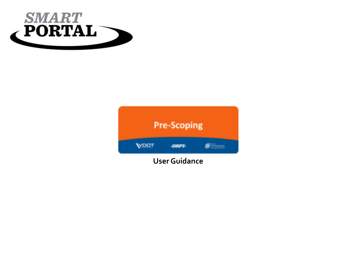

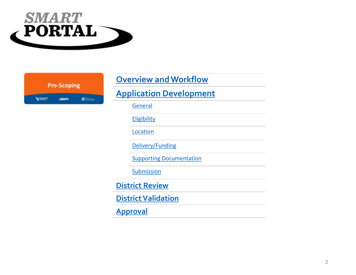

|             | <b>Pre-Scoping</b> |                       |
|-------------|--------------------|-----------------------|
| <b>VDOT</b> | $-BRPL$            | <b>SERVICE AND IN</b> |

| <b>Overview and Workflow</b>    |  |  |
|---------------------------------|--|--|
| <b>Application Development</b>  |  |  |
| General                         |  |  |
| <b>Eligibility</b>              |  |  |
| Location                        |  |  |
| Delivery/Funding                |  |  |
| <b>Supporting Documentation</b> |  |  |
| <b>Submission</b>               |  |  |
| <b>District Review</b>          |  |  |
| <b>District Validation</b>      |  |  |
| <b>Approval</b>                 |  |  |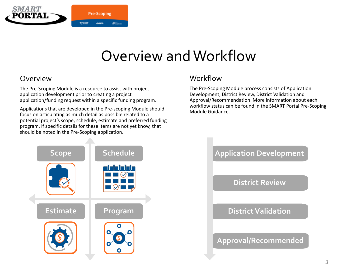<span id="page-2-0"></span>

### Overview and Workflow

### Overview

The Pre-Scoping Module is a resource to assist with project application development prior to creating a project application/funding request within a specific funding program.

Applications that are developed in the Pre-scoping Module should focus on articulating as much detail as possible related to a potential project's scope, schedule, estimate and preferred funding program. If specific details for these items are not yet know, that should be noted in the Pre-Scoping application.

### Workflow

The Pre-Scoping Module process consists of Application Development, District Review, District Validation and Approval/Recommendation. More information about each workflow status can be found in the SMART Portal Pre-Scoping Module Guidance.



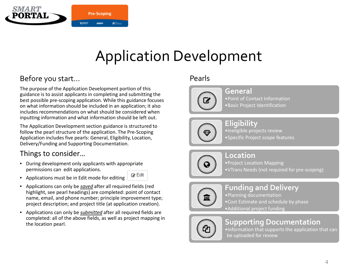<span id="page-3-0"></span>

## Application Development

### Before you start…

The purpose of the Application Development portion of this guidance is to assist applicants in completing and submitting the best possible pre-scoping application. While this guidance focuses on what information should be included in an application; it also includes recommendations on what should be considered when inputting information and what information should be left out.

The Application Development section guidance is structured to follow the pearl structure of the application. The Pre-Scoping Application includes five pearls: General, Eligibility, Location, Delivery/Funding and Supporting Documentation.

### Things to consider…

• During development only applicants with appropriate permissions can edit applications.



- Applications must be in Edit mode for editing
- Applications can only be *saved* after all required fields (red highlight, see pearl headings) are completed: point of contact name, email, and phone number; principle improvement type; project description; and project title (at application creation).
- Applications can only be *submitted* after all required fields are completed: all of the above fields, as well as project mapping in the location pearl.

### Pearls



**General** •Point of Contact Information •Basic Project Identification

**Eligibility** •Ineligible projects review •Specific Project scope features



**Location** •Project Location Mapping •VTrans Needs (not required for pre-scoping)



### **Funding and Delivery**

•Planning documentation •Cost Estimate and schedule by phase •Additional project funding



#### **Supporting Documentation**

•Information that supports the application that can be uploaded for review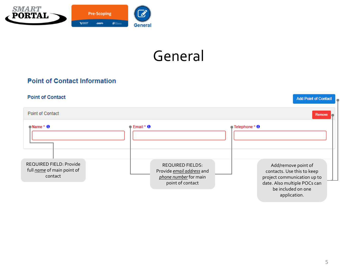<span id="page-4-0"></span>

## General

#### **Point of Contact Information**

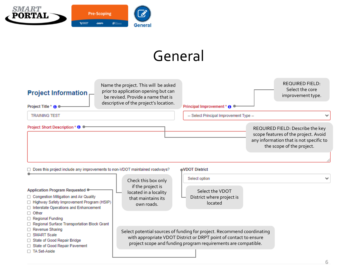

## General

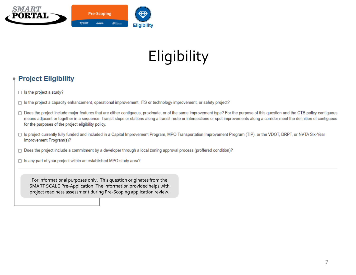<span id="page-6-0"></span>

# **Eligibility**

#### **Project Eligibility**

- $\Box$  Is the project a study?
- □ Is the project a capacity enhancement, operational improvement, ITS or technology improvement, or safety project?
- □ Does the project include major features that are either contiguous, proximate, or of the same improvement type? For the purpose of this question and the CTB policy contiguous means adjacent or together in a sequence. Transit stops or stations along a transit route or intersections or spot improvements along a corridor meet the definition of contiguous for the purposes of the project eligibility policy.
- □ Is project currently fully funded and included in a Capital Improvement Program, MPO Transportation Improvement Program (TIP), or the VDOT, DRPT, or NVTA Six-Year Improvement Program(s)?
- □ Does the project include a commitment by a developer through a local zoning approval process (proffered condition)?
- □ Is any part of your project within an established MPO study area?

For informational purposes only. This question originates from the SMART SCALE Pre-Application. The information provided helps with project readiness assessment during Pre-Scoping application review.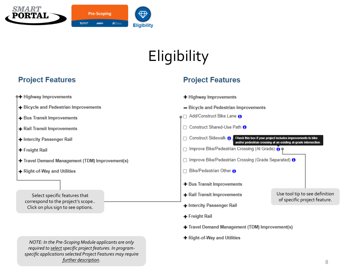

# **Eligibility**

### **Project Features**

**Project Features** 



- Travel Demand Management (TDM) Improvement(s)
- + Right-of-Way and Utilities

*NOTE: In the Pre-Scoping Module applicants are only*  required to select specific project features. In program*specific applications selected Project Features may require further description.* 8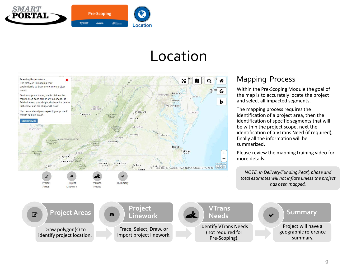<span id="page-8-0"></span>

### Location



### Mapping Process

Within the Pre-Scoping Module the goal of the map is to accurately locate the project and select all impacted segments.

The mapping process requires the identification of a project area, then the identification of specific segments that will be within the project scope, next the identification of a VTrans Need (if required), finally all the information will be summarized.

Please review the mapping training video for more details.

*NOTE: In Delivery/Funding Pearl, phase and total estimates will not inflate unless the project has been mapped.*

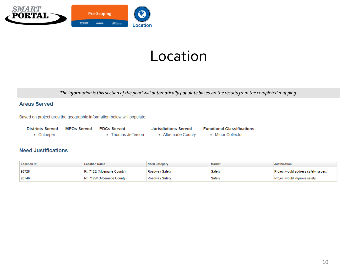

## Location

*The information is this section of the pearl will automatically populate based on the results from the completed mapping.*

#### **Areas Served**

Based on project area the geographic information below will populate.

| Districts Served | MPOs Served PDCs Served |                    | <b>Jurisdictions Served</b> | <b>Functional Classifications</b> |
|------------------|-------------------------|--------------------|-----------------------------|-----------------------------------|
| • Culpeper       |                         | • Thomas Jefferson | • Albemarle County          | • Minor Collector                 |

#### **Need Justifications**

| Location Id | <b>Location Name</b>        | Need Category  | <b>Market</b> | <b>Justification</b>                |
|-------------|-----------------------------|----------------|---------------|-------------------------------------|
| 93728       | Rt. 712E (Albemarle County) | Roadway Safety | Safety        | Project would address safety issues |
| 93746       | Rt. 712W (Albemarle County) | Roadway Safety | Safety        | Project would improve safety        |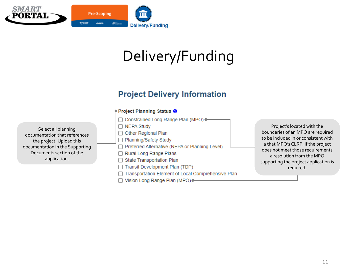<span id="page-10-0"></span>

### **Project Delivery Information**

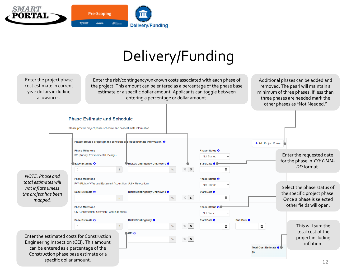

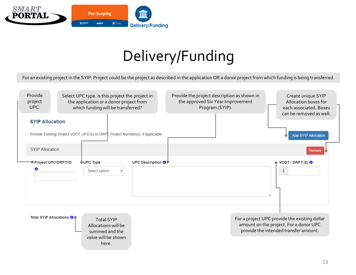

For an existing project in the SYIP. Project could be the project as described in the application OR a donor project from which funding is being transferred.

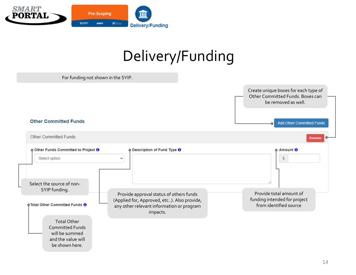

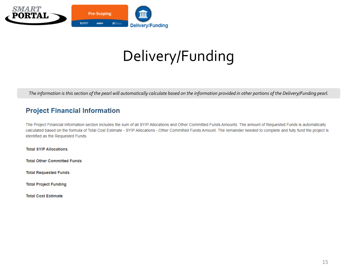

*The information is this section of the pearl will automatically calculate based on the information provided in other portions of the Delivery/Funding pearl.* 

#### **Project Financial Information**

The Project Financial Information section includes the sum of all SYIP Allocations and Other Committed Funds Amounts. The amount of Requested Funds is automatically calculated based on the formula of Total Cost Estimate - SYIP Allocations - Other Committed Funds Amount. The remainder needed to complete and fully fund the project is identified as the Requested Funds.

**Total SYIP Allocations** 

**Total Other Committed Funds** 

**Total Requested Funds** 

**Total Project Funding** 

**Total Cost Estimate**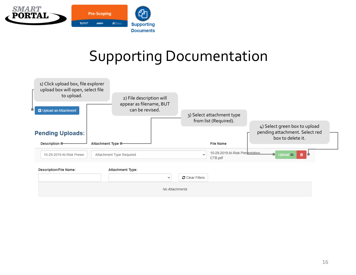<span id="page-15-0"></span>

## Supporting Documentation

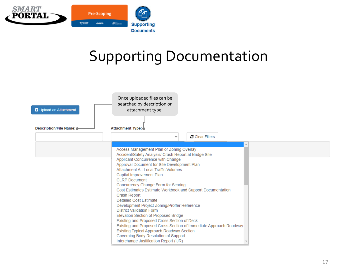

## Supporting Documentation

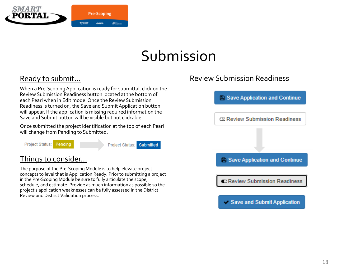<span id="page-17-0"></span>

## Submission

### Ready to submit…

When a Pre-Scoping Application is ready for submittal, click on the Review Submission Readiness button located at the bottom of each Pearl when in Edit mode. Once the Review Submission Readiness is turned on, the Save and Submit Application button will appear. If the application is missing required information the Save and Submit button will be visible but not clickable.

Once submitted the project identification at the top of each Pearl will change from Pending to Submitted.

**Project Status:** Pending **Project Status: Submitted** 

#### Things to consider…

The purpose of the Pre-Scoping Module is to help elevate project concepts to level that is Application Ready. Prior to submitting a project in the Pre-Scoping Module be sure to fully articulate the scope, schedule, and estimate. Provide as much information as possible so the project's application weaknesses can be fully assessed in the District Review and District Validation process.

### Review Submission Readiness

**2 Save Application and Continue** 



Save and Submit Application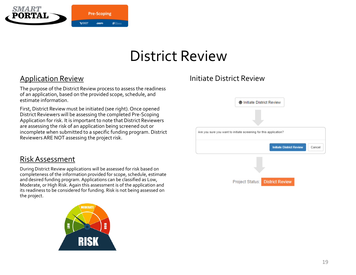<span id="page-18-0"></span>

#### Application Review

The purpose of the District Review process to assess the readiness of an application, based on the provided scope, schedule, and estimate information.

First, District Review must be initiated (see right). Once opened District Reviewers will be assessing the completed Pre-Scoping Application for risk. It is important to note that District Reviewers are assessing the risk of an application being screened out or incomplete when submitted to a specific funding program. District Reviewers ARE NOT assessing the project risk.

#### Risk Assessment

During District Review applications will be assessed for risk based on completeness of the information provided for scope, schedule, estimate and desired funding program. Applications can be classified as Low, Moderate, or High Risk. Again this assessment is of the application and its readiness to be considered for funding. Risk is not being assessed on the project.



### Initiate District Review

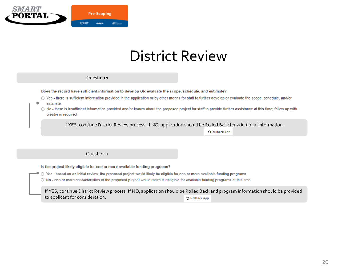

#### Question 1

Does the record have sufficient information to develop OR evaluate the scope, schedule, and estimate?

- Yes there is sufficient information provided in the application or by other means for staff to further develop or evaluate the scope, schedule, and/or estimate.
- No there is insufficient information provided and/or known about the proposed project for staff to provide further assistance at this time; follow up with creator is required

If YES, continue District Review process. If NO, application should be Rolled Back for additional information.

O Rollback App

#### Question 2

Is the project likely eligible for one or more available funding programs?

○ Yes - based on an initial review, the proposed project would likely be eligible for one or more available funding programs

 $\bigcirc$  No - one or more characteristics of the proposed project would make it ineligible for available funding programs at this time

If YES, continue District Review process. If NO, application should be Rolled Back and program information should be provided to applicant for consideration. **D** Rollback App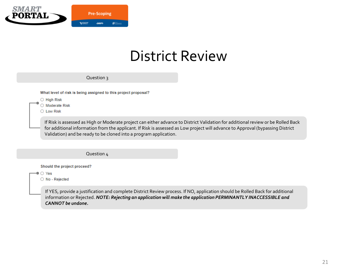

|                                                                | Question $\frac{1}{3}$                                                                                                                                                                                                                                                                                                                   |  |
|----------------------------------------------------------------|------------------------------------------------------------------------------------------------------------------------------------------------------------------------------------------------------------------------------------------------------------------------------------------------------------------------------------------|--|
|                                                                | What level of risk is being assigned to this project proposal?                                                                                                                                                                                                                                                                           |  |
| $\bigcirc$ High Risk<br>$\bigcirc$ Moderate Risk<br>C Low Risk |                                                                                                                                                                                                                                                                                                                                          |  |
|                                                                | If Risk is assessed as High or Moderate project can either advance to District Validation for additional review or be Rolled Back<br>for additional information from the applicant. If Risk is assessed as Low project will advance to Approval (bypassing District<br>Validation) and be ready to be cloned into a program application. |  |
|                                                                |                                                                                                                                                                                                                                                                                                                                          |  |

Question 4

Should the project proceed?

 $\bullet$   $\circlearrowright$  Yes

○ No - Rejected

If YES, provide a justification and complete District Review process. If NO, application should be Rolled Back for additional information or Rejected. *NOTE: Rejecting an application will make the application PERMINANTLY INACCESSIBLE and CANNOT be undone.*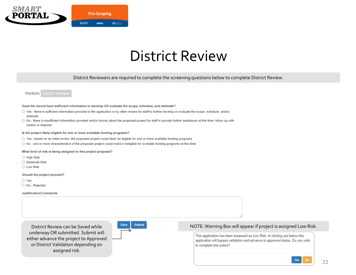

District Reviewers are required to complete the screening questions below to complete District Review.



#### Does the record have sufficient information to develop OR evaluate the scope, schedule, and estimate?

- Yes there is sufficient information provided in the application or by other means for staff to further develop or evaluate the scope, schedule, and/or estimate
- O No there is insufficient information provided and/or known about the proposed project for staff to provide further assistance at this time; follow up with creator is required
- Is the project likely eligible for one or more available funding programs?
- Yes based on an initial review, the proposed project would likely be eligible for one or more available funding programs
- $\bigcirc$  No one or more characteristics of the proposed project would make it ineligible for available funding programs at this time

What level of risk is being assigned to this project proposal?

- High Risk
- O Moderate Risk
- Low Risk

Should the project proceed?

- Yes
- No Rejected

#### Justification/Comments

District Review can be Saved while underway OR submitted. Submit will either advance the project to Approved or District Validation depending on assigned risk.



#### NOTE: Warning Box will appear if project is assigned Low Risk.

This application has been assessed as Low Risk. In clicking yes below this application will bypass validation and advance to approved status. Do you wish to complete this action?

**Yes**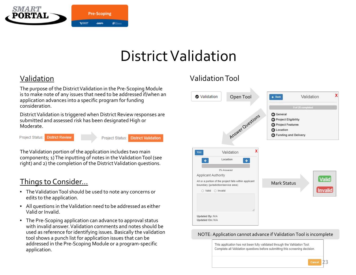<span id="page-22-0"></span>

## District Validation

### Validation

The purpose of the District Validation in the Pre-Scoping Module is to make note of any issues that need to be addressed if/when an application advances into a specific program for funding consideration.

District Validation is triggered when District Review responses are submitted and assessed risk has been designated High or Moderate.

**District Review** Project Status:

Project Status: **District Validation** 

The Validation portion of the application includes two main components; 1) The inputting of notes in the Validation Tool (see right) and 2) the completion of the District Validation questions.

#### Things to Consider…

- The Validation Tool should be used to note any concerns or edits to the application.
- All questions in the Validation need to be addressed as either Valid or Invalid.
- The Pre-Scoping application can advance to approval status with invalid answer. Validation comments and notes should be used as reference for identifying issues. Basically the validation tool shows a punch list for application issues that can be addressed in the Pre-Scoping Module or a program-specific application.

### Validation Tool



#### NOTE: Application cannot advance if Validation Tool is incomplete

This application has not been fully validated through the Validation Tool. Complete all Validation questions before submitting this screening decision.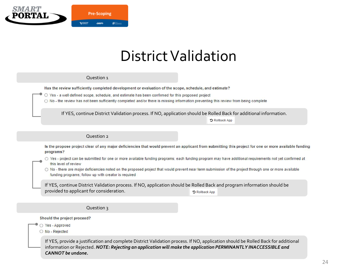

### District Validation

#### Question 1

Has the review sufficiently completed development or evaluation of the scope, schedule, and estimate?

O Yes - a well defined scope, schedule, and estimate has been confirmed for this proposed project

O No - the review has not been sufficiently completed and/or there is missing information preventing this review from being complete

If YES, continue District Validation process. If NO, application should be Rolled Back for additional information.

O Rollback App

#### Question 2

Is the propose project clear of any major deficiencies that would prevent an applicant from submitting this project for one or more available funding programs?

○ Yes - project can be submitted for one or more available funding programs; each funding program may have additional requirements not yet confirmed at this level of review

○ No - there are major deficiencies noted on the proposed project that would prevent near term submission of the project through one or more available funding programs; follow up with creator is required

If YES, continue District Validation process. If NO, application should be Rolled Back and program information should be provided to applicant for consideration. O Rollback App

#### Question 3

Should the project proceed?

○ Yes - Approved

O No - Rejected

If YES, provide a justification and complete District Validation process. If NO, application should be Rolled Back for additional information or Rejected. *NOTE: Rejecting an application will make the application PERMINANTLY INACCESSIBLE and CANNOT be undone.*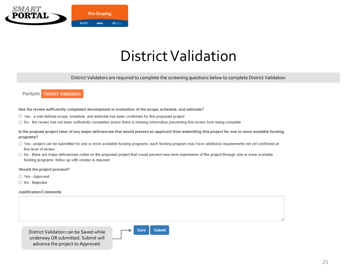

### District Validation

District Validators are required to complete the screening questions below to complete District Validation

#### **District Validation** Perform

Has the review sufficiently completed development or evaluation of the scope, schedule, and estimate?

- Yes a well defined scope, schedule, and estimate has been confirmed for this proposed project
- No the review has not been sufficiently completed and/or there is missing information preventing this review from being complete

Is the propose project clear of any major deficiencies that would prevent an applicant from submitting this project for one or more available funding programs?

- Yes project can be submitted for one or more available funding programs; each funding program may have additional requirements not yet confirmed at this level of review
- $\bigcirc$  No there are major deficiencies noted on the proposed project that would prevent near term submission of the project through one or more available funding programs; follow up with creator is required

#### Should the project proceed?

- Yes Approved
- No Rejected

#### Justification/Comments

advance the project to Approved.